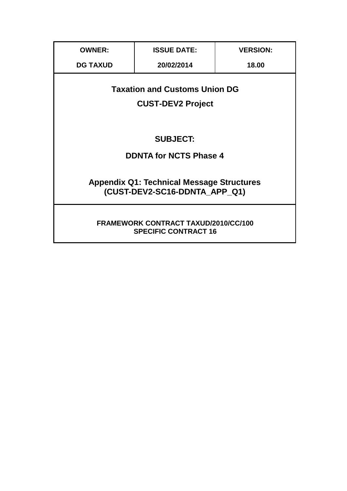| <b>OWNER:</b>                                                                     | <b>ISSUE DATE:</b> | <b>VERSION:</b> |  |
|-----------------------------------------------------------------------------------|--------------------|-----------------|--|
| <b>DG TAXUD</b>                                                                   | 20/02/2014         | 18.00           |  |
| <b>Taxation and Customs Union DG</b><br><b>CUST-DEV2 Project</b>                  |                    |                 |  |
| <b>SUBJECT:</b>                                                                   |                    |                 |  |
| <b>DDNTA for NCTS Phase 4</b>                                                     |                    |                 |  |
| <b>Appendix Q1: Technical Message Structures</b><br>(CUST-DEV2-SC16-DDNTA APP Q1) |                    |                 |  |
| FRAMEWORK CONTRACT TAXUD/2010/CC/100<br><b>SPECIFIC CONTRACT 16</b>               |                    |                 |  |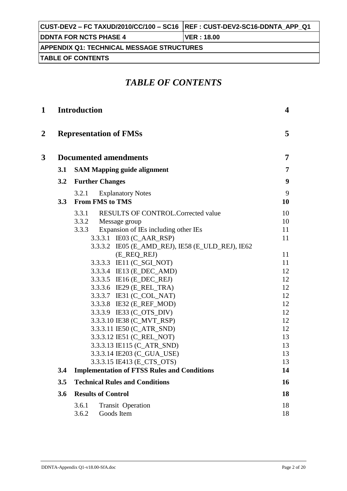| CUST-DEV2 - FC TAXUD/2010/CC/100 - SC16   REF : CUST-DEV2-SC16-DDNTA_APP_Q1 |                    |  |
|-----------------------------------------------------------------------------|--------------------|--|
|                                                                             |                    |  |
| <b>DDNTA FOR NCTS PHASE 4</b>                                               | <b>VER</b> : 18.00 |  |
|                                                                             |                    |  |
|                                                                             |                    |  |
| <b>APPENDIX Q1: TECHNICAL MESSAGE STRUCTURES</b>                            |                    |  |
|                                                                             |                    |  |
|                                                                             |                    |  |
| <b>TABLE OF CONTENTS</b>                                                    |                    |  |

# *TABLE OF CONTENTS*

| 1              |     | <b>Introduction</b>                                         | 4              |
|----------------|-----|-------------------------------------------------------------|----------------|
| $\overline{2}$ |     | <b>Representation of FMSs</b>                               | 5              |
| 3              |     | <b>Documented amendments</b>                                | $\overline{7}$ |
|                | 3.1 | <b>SAM Mapping guide alignment</b>                          | 7              |
|                | 3.2 | <b>Further Changes</b>                                      | 9              |
|                | 3.3 | 3.2.1<br><b>Explanatory Notes</b><br><b>From FMS to TMS</b> | 9<br>10        |
|                |     | <b>RESULTS OF CONTROL.Corrected value</b><br>3.3.1          | 10             |
|                |     | 3.3.2<br>Message group                                      | 10             |
|                |     | Expansion of IEs including other IEs<br>3.3.3               | 11             |
|                |     | 3.3.3.1 IE03 (C_AAR_RSP)                                    | 11             |
|                |     | 3.3.3.2 IE05 (E_AMD_REJ), IE58 (E_ULD_REJ), IE62            |                |
|                |     | (E_REQ_REJ)                                                 | 11             |
|                |     | 3.3.3.3 IE11 (C_SGI_NOT)                                    | 11             |
|                |     | 3.3.3.4 IE13 (E_DEC_AMD)                                    | 12             |
|                |     | 3.3.3.5 IE16 (E_DEC_REJ)                                    | 12             |
|                |     | 3.3.3.6 IE29 (E_REL_TRA)<br>3.3.3.7 IE31 (C_COL_NAT)        | 12<br>12       |
|                |     | 3.3.3.8 IE32 (E_REF_MOD)                                    | 12             |
|                |     | 3.3.3.9 IE33 (C_OTS_DIV)                                    | 12             |
|                |     | 3.3.3.10 IE38 (C_MVT_RSP)                                   | 12             |
|                |     | 3.3.3.11 IE50 (C_ATR_SND)                                   | 12             |
|                |     | 3.3.3.12 IE51 (C_REL_NOT)                                   | 13             |
|                |     | 3.3.3.13 IE115 (C_ATR_SND)                                  | 13             |
|                |     | 3.3.3.14 IE203 (C_GUA_USE)                                  | 13             |
|                |     | 3.3.3.15 IE413 (E_CTS_OTS)                                  | 13             |
|                | 3.4 | <b>Implementation of FTSS Rules and Conditions</b>          | 14             |
|                | 3.5 | <b>Technical Rules and Conditions</b>                       | 16             |
|                | 3.6 | <b>Results of Control</b>                                   | 18             |
|                |     | 3.6.1<br><b>Transit Operation</b>                           | 18             |
|                |     | 3.6.2<br>Goods Item                                         | 18             |
|                |     |                                                             |                |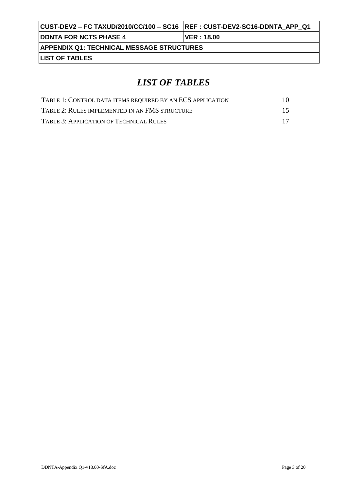| CUST-DEV2 – FC TAXUD/2010/CC/100 – SC16   REF : CUST-DEV2-SC16-DDNTA  APP  Q1 |              |  |
|-------------------------------------------------------------------------------|--------------|--|
| <b>DDNTA FOR NCTS PHASE 4</b>                                                 | ⊺VER : 18.00 |  |
| <b>APPENDIX Q1: TECHNICAL MESSAGE STRUCTURES</b>                              |              |  |
| <b>LIST OF TABLES</b>                                                         |              |  |

# *LIST OF TABLES*

| TABLE 1: CONTROL DATA ITEMS REQUIRED BY AN ECS APPLICATION | 10 |
|------------------------------------------------------------|----|
| TABLE 2: RULES IMPLEMENTED IN AN FMS STRUCTURE             | 15 |
| TABLE 3: APPLICATION OF TECHNICAL RULES                    | 17 |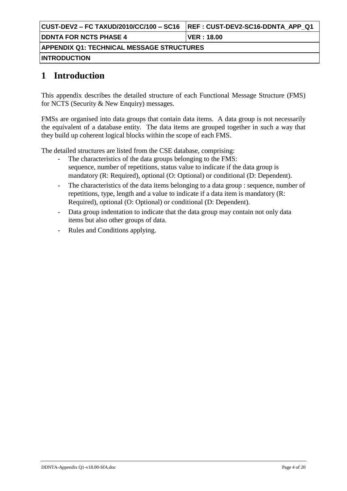| CUST-DEV2 – FC TAXUD/2010/CC/100 – SC16   | <b>REF: CUST-DEV2-SC16-DDNTA APP Q1</b> |  |
|-------------------------------------------|-----------------------------------------|--|
| <b>DDNTA FOR NCTS PHASE 4</b>             | VER : 18.00                             |  |
| APPENDIX Q1: TECHNICAL MESSAGE STRUCTURES |                                         |  |
| <b>INTRODUCTION</b>                       |                                         |  |

## **1 Introduction**

This appendix describes the detailed structure of each Functional Message Structure (FMS) for NCTS (Security & New Enquiry) messages.

FMSs are organised into data groups that contain data items. A data group is not necessarily the equivalent of a database entity. The data items are grouped together in such a way that they build up coherent logical blocks within the scope of each FMS.

The detailed structures are listed from the CSE database, comprising:

- The characteristics of the data groups belonging to the FMS: sequence, number of repetitions, status value to indicate if the data group is mandatory (R: Required), optional (O: Optional) or conditional (D: Dependent).
- The characteristics of the data items belonging to a data group : sequence, number of repetitions, type, length and a value to indicate if a data item is mandatory (R: Required), optional (O: Optional) or conditional (D: Dependent).
- Data group indentation to indicate that the data group may contain not only data items but also other groups of data.
- Rules and Conditions applying.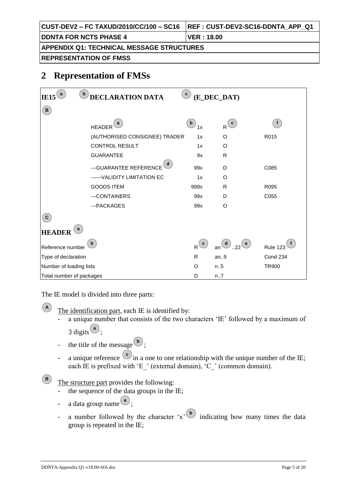|                                           | <b>REF: CUST-DEV2-SC16-DDNTA APP Q1</b> |  |
|-------------------------------------------|-----------------------------------------|--|
| <b>DDNTA FOR NCTS PHASE 4</b>             | ⊺VER : 18.00                            |  |
| APPENDIX Q1: TECHNICAL MESSAGE STRUCTURES |                                         |  |
| <b>REPRESENTATION OF FMSS</b>             |                                         |  |

## **2 Representation of FMSs**

| $\mathbf b$<br>a<br><b>IE15</b> | <b>DECLARATION DATA</b>       | $\mathbf{c}$       | (E_DEC_DAT)                 |                 |
|---------------------------------|-------------------------------|--------------------|-----------------------------|-----------------|
| $(\mathbf{B})$                  |                               |                    |                             |                 |
|                                 | a<br><b>HEADER</b>            | $\mathbf{b}$<br>1x | $R$ <sup>(c)</sup>          | f               |
|                                 | (AUTHORISED CONSIGNEE) TRADER | 1x                 | O                           | R015            |
|                                 | <b>CONTROL RESULT</b>         | 1x                 | O                           |                 |
|                                 | <b>GUARANTEE</b>              | 9x                 | R                           |                 |
|                                 | d<br>--- GUARANTEE REFERENCE  | 99x                | D                           | C085            |
|                                 | ------ VALIDITY LIMITATION EC | 1x                 | $\circ$                     |                 |
|                                 | <b>GOODS ITEM</b>             | 999x               | R                           | R095            |
|                                 | ---CONTAINERS                 | 99x                | D                           | C055            |
|                                 | ---PACKAGES                   | 99x                | O                           |                 |
| $\mathbf{C}$                    |                               |                    |                             |                 |
| <b>HEADER</b>                   |                               |                    |                             |                 |
| Reference number                | $\mathbf b$                   | $R$ <sup>(c)</sup> | an $\bigcirc$ 22 $\bigcirc$ | <b>Rule 123</b> |
| Type of declaration             |                               | $\mathsf{R}$       | an.9                        | Cond 234        |
| Number of loading lists         |                               | O                  | n.5                         | <b>TR900</b>    |
| Total number of packages        |                               | D                  | n7                          |                 |

The IE model is divided into three parts:

**A**

**B**

The identification part, each IE is identified by:

- a unique number that consists of the two characters 'IE' followed by a maximum of 3 digits  $\left( \frac{a}{a} \right)$ ;
- the title of the message  $\begin{pmatrix} \mathbf{b} \\ \mathbf{c} \end{pmatrix}$ ;
- a unique reference  $\left(\begin{array}{c} c \\ c \end{array}\right)$  in a one to one relationship with the unique number of the IE; each IE is prefixed with 'E  $'$  (external domain), 'C  $'$  (common domain).

The structure part provides the following:

- the sequence of the data groups in the IE;
- a data group name  $\begin{pmatrix} a \\ c \end{pmatrix}$ ;
- a number followed by the character 'x<sup>'</sup>  $\mathbf{b}$  indicating how many times the data group is repeated in the IE;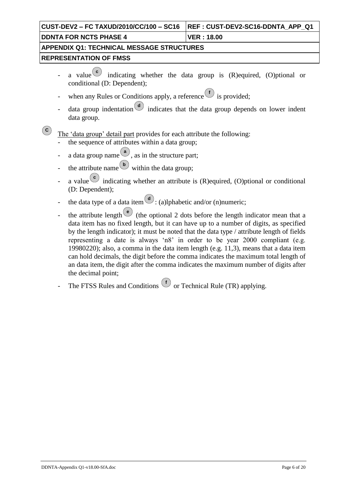| CUST-DEV2 – FC TAXUD/2010/CC/100 – SC16    REF : CUST-DEV2-SC16-DDNTA  APP  Q1 |                     |  |
|--------------------------------------------------------------------------------|---------------------|--|
| <b>IDDNTA FOR NCTS PHASE 4</b>                                                 | <b>IVER : 18.00</b> |  |
| <b>APPENDIX Q1: TECHNICAL MESSAGE STRUCTURES</b>                               |                     |  |
| <b>REPRESENTATION OF FMSS</b>                                                  |                     |  |
|                                                                                |                     |  |

- a value<sup>c</sup> indicating whether the data group is (R)equired, (O)ptional or conditional (D: Dependent);
- when any Rules or Conditions apply, a reference <sup>t</sup> is provided;
- data group indentation  $\begin{pmatrix} d \\ d \end{pmatrix}$  indicates that the data group depends on lower indent data group.

 $\bf (c)$ The 'data group' detail part provides for each attribute the following:

- the sequence of attributes within a data group;
- a data group name  $\left( \begin{array}{c} a \\ c \end{array} \right)$ , as in the structure part;
- the attribute name  $\overset{(b)}{\bigcirc}$  within the data group;
- a value  $\circ$  indicating whether an attribute is (R) equired, (O) ptional or conditional (D: Dependent);
- the data type of a data item  $\mathcal{L}$ : (a)lphabetic and/or (n)numeric;
- the attribute length  $\left( \begin{array}{c} e \\ e \end{array} \right)$  (the optional 2 dots before the length indicator mean that a data item has no fixed length, but it can have up to a number of digits, as specified by the length indicator); it must be noted that the data type / attribute length of fields representing a date is always 'n8' in order to be year 2000 compliant (e.g. 19980220); also, a comma in the data item length (e.g. 11,3), means that a data item can hold decimals, the digit before the comma indicates the maximum total length of an data item, the digit after the comma indicates the maximum number of digits after the decimal point;
- The FTSS Rules and Conditions  $\bigcirc$  or Technical Rule (TR) applying.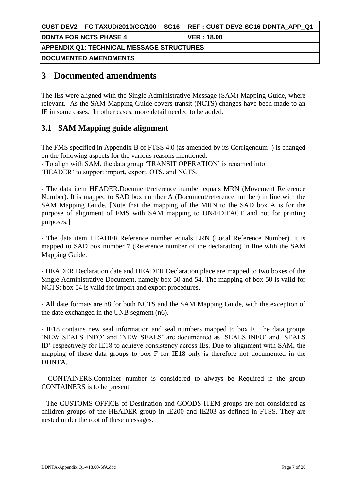| CUST-DEV2 – FC TAXUD/2010/CC/100 – SC16          | <b>REF: CUST-DEV2-SC16-DDNTA APP Q1</b> |  |
|--------------------------------------------------|-----------------------------------------|--|
| <b>DDNTA FOR NCTS PHASE 4</b>                    | VER : 18.00                             |  |
| <b>APPENDIX Q1: TECHNICAL MESSAGE STRUCTURES</b> |                                         |  |
| <b> DOCUMENTED AMENDMENTS </b>                   |                                         |  |

## **3 Documented amendments**

The IEs were aligned with the Single Administrative Message (SAM) Mapping Guide, where relevant. As the SAM Mapping Guide covers transit (NCTS) changes have been made to an IE in some cases. In other cases, more detail needed to be added.

## **3.1 SAM Mapping guide alignment**

The FMS specified in Appendix B of FTSS 4.0 (as amended by its Corrigendum ) is changed on the following aspects for the various reasons mentioned:

- To align with SAM, the data group 'TRANSIT OPERATION' is renamed into 'HEADER' to support import, export, OTS, and NCTS.

- The data item HEADER.Document/reference number equals MRN (Movement Reference Number). It is mapped to SAD box number A (Document/reference number) in line with the SAM Mapping Guide. [Note that the mapping of the MRN to the SAD box A is for the purpose of alignment of FMS with SAM mapping to UN/EDIFACT and not for printing purposes.]

- The data item HEADER.Reference number equals LRN (Local Reference Number). It is mapped to SAD box number 7 (Reference number of the declaration) in line with the SAM Mapping Guide.

- HEADER.Declaration date and HEADER.Declaration place are mapped to two boxes of the Single Administrative Document, namely box 50 and 54. The mapping of box 50 is valid for NCTS; box 54 is valid for import and export procedures.

- All date formats are n8 for both NCTS and the SAM Mapping Guide, with the exception of the date exchanged in the UNB segment (n6).

- IE18 contains new seal information and seal numbers mapped to box F. The data groups 'NEW SEALS INFO' and 'NEW SEALS' are documented as 'SEALS INFO' and 'SEALS ID' respectively for IE18 to achieve consistency across IEs. Due to alignment with SAM, the mapping of these data groups to box F for IE18 only is therefore not documented in the DDNTA.

- CONTAINERS.Container number is considered to always be Required if the group CONTAINERS is to be present.

- The CUSTOMS OFFICE of Destination and GOODS ITEM groups are not considered as children groups of the HEADER group in IE200 and IE203 as defined in FTSS. They are nested under the root of these messages.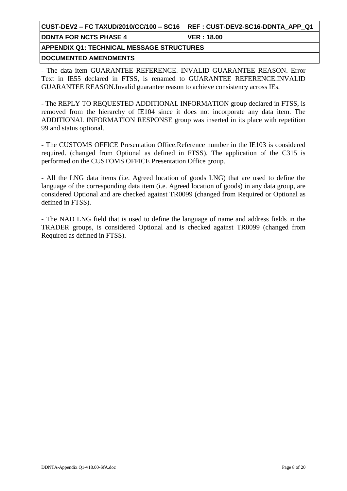| CUST-DEV2 – FC TAXUD/2010/CC/100 – SC16    REF : CUST-DEV2-SC16-DDNTA  APP  Q1 |                     |  |
|--------------------------------------------------------------------------------|---------------------|--|
| <b>DDNTA FOR NCTS PHASE 4</b>                                                  | <b>IVER : 18.00</b> |  |
| APPENDIX Q1: TECHNICAL MESSAGE STRUCTURES                                      |                     |  |
|                                                                                |                     |  |

**DOCUMENTED AMENDMENTS**

- The data item GUARANTEE REFERENCE. INVALID GUARANTEE REASON. Error Text in IE55 declared in FTSS, is renamed to GUARANTEE REFERENCE.INVALID GUARANTEE REASON.Invalid guarantee reason to achieve consistency across IEs.

- The REPLY TO REQUESTED ADDITIONAL INFORMATION group declared in FTSS, is removed from the hierarchy of IE104 since it does not incorporate any data item. The ADDITIONAL INFORMATION RESPONSE group was inserted in its place with repetition 99 and status optional.

- The CUSTOMS OFFICE Presentation Office.Reference number in the IE103 is considered required. (changed from Optional as defined in FTSS). The application of the C315 is performed on the CUSTOMS OFFICE Presentation Office group.

- All the LNG data items (i.e. Agreed location of goods LNG) that are used to define the language of the corresponding data item (i.e. Agreed location of goods) in any data group, are considered Optional and are checked against TR0099 (changed from Required or Optional as defined in FTSS).

- The NAD LNG field that is used to define the language of name and address fields in the TRADER groups, is considered Optional and is checked against TR0099 (changed from Required as defined in FTSS).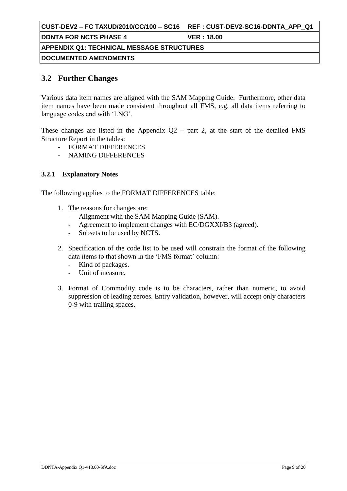| CUST-DEV2 – FC TAXUD/2010/CC/100 – SC16   | <b>REF: CUST-DEV2-SC16-DDNTA APP Q1</b> |  |
|-------------------------------------------|-----------------------------------------|--|
| <b>DDNTA FOR NCTS PHASE 4</b>             | ∣VER : 18.00                            |  |
| APPENDIX Q1: TECHNICAL MESSAGE STRUCTURES |                                         |  |
| <b> DOCUMENTED AMENDMENTS </b>            |                                         |  |

### **3.2 Further Changes**

Various data item names are aligned with the SAM Mapping Guide. Furthermore, other data item names have been made consistent throughout all FMS, e.g. all data items referring to language codes end with 'LNG'.

These changes are listed in the Appendix  $Q2$  – part 2, at the start of the detailed FMS Structure Report in the tables:

- FORMAT DIFFERENCES
- NAMING DIFFERENCES

#### **3.2.1 Explanatory Notes**

The following applies to the FORMAT DIFFERENCES table:

- 1. The reasons for changes are:
	- Alignment with the SAM Mapping Guide (SAM).
	- Agreement to implement changes with EC/DGXXI/B3 (agreed).
	- Subsets to be used by NCTS.
- 2. Specification of the code list to be used will constrain the format of the following data items to that shown in the 'FMS format' column:
	- Kind of packages.
	- Unit of measure.
- 3. Format of Commodity code is to be characters, rather than numeric, to avoid suppression of leading zeroes. Entry validation, however, will accept only characters 0-9 with trailing spaces.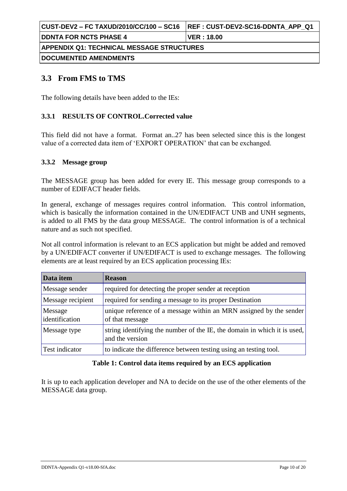|                                           | <b>REF: CUST-DEV2-SC16-DDNTA APP Q1</b> |  |  |
|-------------------------------------------|-----------------------------------------|--|--|
| <b>DDNTA FOR NCTS PHASE 4</b>             | ⊺VER : 18.00                            |  |  |
| APPENDIX Q1: TECHNICAL MESSAGE STRUCTURES |                                         |  |  |
| <b> DOCUMENTED AMENDMENTS </b>            |                                         |  |  |

### **3.3 From FMS to TMS**

The following details have been added to the IEs:

#### **3.3.1 RESULTS OF CONTROL.Corrected value**

This field did not have a format. Format an..27 has been selected since this is the longest value of a corrected data item of 'EXPORT OPERATION' that can be exchanged.

#### **3.3.2 Message group**

The MESSAGE group has been added for every IE. This message group corresponds to a number of EDIFACT header fields.

In general, exchange of messages requires control information. This control information, which is basically the information contained in the UN/EDIFACT UNB and UNH segments, is added to all FMS by the data group MESSAGE. The control information is of a technical nature and as such not specified.

Not all control information is relevant to an ECS application but might be added and removed by a UN/EDIFACT converter if UN/EDIFACT is used to exchange messages. The following elements are at least required by an ECS application processing IEs:

| Data item                 | <b>Reason</b>                                                                               |
|---------------------------|---------------------------------------------------------------------------------------------|
| Message sender            | required for detecting the proper sender at reception                                       |
| Message recipient         | required for sending a message to its proper Destination                                    |
| Message<br>identification | unique reference of a message within an MRN assigned by the sender<br>of that message       |
| Message type              | string identifying the number of the IE, the domain in which it is used,<br>and the version |
| Test indicator            | to indicate the difference between testing using an testing tool.                           |

#### **Table 1: Control data items required by an ECS application**

It is up to each application developer and NA to decide on the use of the other elements of the MESSAGE data group.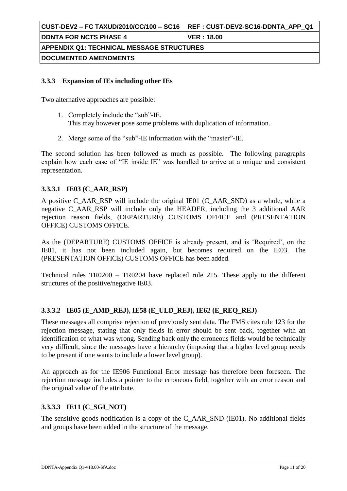#### **3.3.3 Expansion of IEs including other IEs**

Two alternative approaches are possible:

- 1. Completely include the "sub"-IE. This may however pose some problems with duplication of information.
- 2. Merge some of the "sub"-IE information with the "master"-IE.

The second solution has been followed as much as possible. The following paragraphs explain how each case of "IE inside IE" was handled to arrive at a unique and consistent representation.

#### **3.3.3.1 IE03 (C\_AAR\_RSP)**

A positive C\_AAR\_RSP will include the original IE01 (C\_AAR\_SND) as a whole, while a negative C\_AAR\_RSP will include only the HEADER, including the 3 additional AAR rejection reason fields, (DEPARTURE) CUSTOMS OFFICE and (PRESENTATION OFFICE) CUSTOMS OFFICE.

As the (DEPARTURE) CUSTOMS OFFICE is already present, and is 'Required', on the IE01, it has not been included again, but becomes required on the IE03. The (PRESENTATION OFFICE) CUSTOMS OFFICE has been added.

Technical rules TR0200 – TR0204 have replaced rule 215. These apply to the different structures of the positive/negative IE03.

#### **3.3.3.2 IE05 (E\_AMD\_REJ), IE58 (E\_ULD\_REJ), IE62 (E\_REQ\_REJ)**

These messages all comprise rejection of previously sent data. The FMS cites rule 123 for the rejection message, stating that only fields in error should be sent back, together with an identification of what was wrong. Sending back only the erroneous fields would be technically very difficult, since the messages have a hierarchy (imposing that a higher level group needs to be present if one wants to include a lower level group).

An approach as for the IE906 Functional Error message has therefore been foreseen. The rejection message includes a pointer to the erroneous field, together with an error reason and the original value of the attribute.

#### **3.3.3.3 IE11 (C\_SGI\_NOT)**

The sensitive goods notification is a copy of the C\_AAR\_SND (IE01). No additional fields and groups have been added in the structure of the message.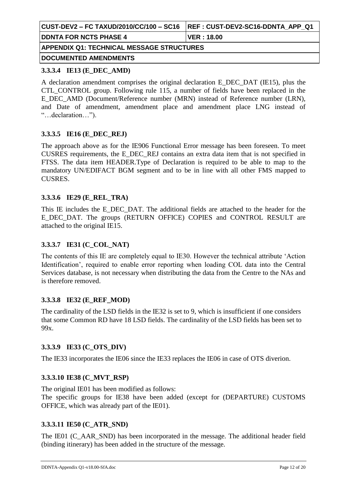| CUST-DEV2 – FC TAXUD/2010/CC/100 – SC16   | <b>REF: CUST-DEV2-SC16-DDNTA APP Q1</b> |  |  |
|-------------------------------------------|-----------------------------------------|--|--|
| <b>DDNTA FOR NCTS PHASE 4</b>             | VER : 18.00                             |  |  |
| APPENDIX Q1: TECHNICAL MESSAGE STRUCTURES |                                         |  |  |
| <b>DOCUMENTED AMENDMENTS</b>              |                                         |  |  |

#### **3.3.3.4 IE13 (E\_DEC\_AMD)**

A declaration amendment comprises the original declaration E\_DEC\_DAT (IE15), plus the CTL\_CONTROL group. Following rule 115, a number of fields have been replaced in the E\_DEC\_AMD (Document/Reference number (MRN) instead of Reference number (LRN), and Date of amendment, amendment place and amendment place LNG instead of "…declaration…").

#### **3.3.3.5 IE16 (E\_DEC\_REJ)**

The approach above as for the IE906 Functional Error message has been foreseen. To meet CUSRES requirements, the E\_DEC\_REJ contains an extra data item that is not specified in FTSS. The data item HEADER.Type of Declaration is required to be able to map to the mandatory UN/EDIFACT BGM segment and to be in line with all other FMS mapped to CUSRES.

#### **3.3.3.6 IE29 (E\_REL\_TRA)**

This IE includes the E\_DEC\_DAT. The additional fields are attached to the header for the E\_DEC\_DAT. The groups (RETURN OFFICE) COPIES and CONTROL RESULT are attached to the original IE15.

#### **3.3.3.7 IE31 (C\_COL\_NAT)**

The contents of this IE are completely equal to IE30. However the technical attribute 'Action Identification', required to enable error reporting when loading COL data into the Central Services database, is not necessary when distributing the data from the Centre to the NAs and is therefore removed.

#### **3.3.3.8 IE32 (E\_REF\_MOD)**

The cardinality of the LSD fields in the IE32 is set to 9, which is insufficient if one considers that some Common RD have 18 LSD fields. The cardinality of the LSD fields has been set to 99x.

#### **3.3.3.9 IE33 (C\_OTS\_DIV)**

The IE33 incorporates the IE06 since the IE33 replaces the IE06 in case of OTS diverion.

#### **3.3.3.10 IE38 (C\_MVT\_RSP)**

The original IE01 has been modified as follows: The specific groups for IE38 have been added (except for (DEPARTURE) CUSTOMS OFFICE, which was already part of the IE01).

#### **3.3.3.11 IE50 (C\_ATR\_SND)**

The IE01 (C\_AAR\_SND) has been incorporated in the message. The additional header field (binding itinerary) has been added in the structure of the message.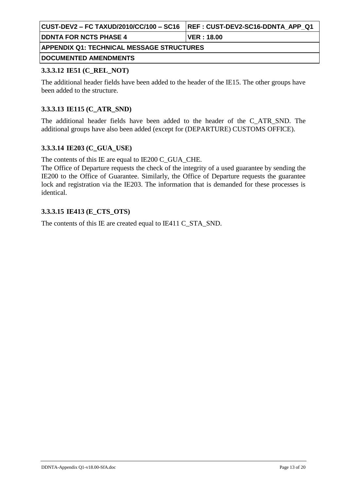| CUST-DEV2 – FC TAXUD/2010/CC/100 – SC16    REF : CUST-DEV2-SC16-DDNTA  APP  Q1 |             |  |  |
|--------------------------------------------------------------------------------|-------------|--|--|
| <b>DDNTA FOR NCTS PHASE 4</b>                                                  | VER : 18.00 |  |  |
| APPENDIX Q1: TECHNICAL MESSAGE STRUCTURES                                      |             |  |  |
| <b>DOCUMENTED AMENDMENTS</b>                                                   |             |  |  |

#### **3.3.3.12 IE51 (C\_REL\_NOT)**

The additional header fields have been added to the header of the IE15. The other groups have been added to the structure.

#### **3.3.3.13 IE115 (C\_ATR\_SND)**

The additional header fields have been added to the header of the C\_ATR\_SND. The additional groups have also been added (except for (DEPARTURE) CUSTOMS OFFICE).

#### **3.3.3.14 IE203 (C\_GUA\_USE)**

The contents of this IE are equal to IE200 C\_GUA\_CHE.

The Office of Departure requests the check of the integrity of a used guarantee by sending the IE200 to the Office of Guarantee. Similarly, the Office of Departure requests the guarantee lock and registration via the IE203. The information that is demanded for these processes is identical.

#### **3.3.3.15 IE413 (E\_CTS\_OTS)**

The contents of this IE are created equal to IE411 C\_STA\_SND.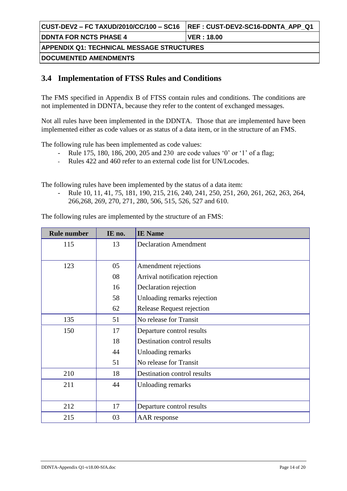| CUST-DEV2 – FC TAXUD/2010/CC/100 – SC16          | <b>REF: CUST-DEV2-SC16-DDNTA APP Q1</b> |  |  |
|--------------------------------------------------|-----------------------------------------|--|--|
| <b>DDNTA FOR NCTS PHASE 4</b>                    | ⊺VER : 18.00                            |  |  |
| <b>APPENDIX Q1: TECHNICAL MESSAGE STRUCTURES</b> |                                         |  |  |
| <b>DOCUMENTED AMENDMENTS</b>                     |                                         |  |  |

### **3.4 Implementation of FTSS Rules and Conditions**

The FMS specified in Appendix B of FTSS contain rules and conditions. The conditions are not implemented in DDNTA, because they refer to the content of exchanged messages.

Not all rules have been implemented in the DDNTA. Those that are implemented have been implemented either as code values or as status of a data item, or in the structure of an FMS.

The following rule has been implemented as code values:

- Rule 175, 180, 186, 200, 205 and 230 are code values '0' or '1' of a flag;
- Rules 422 and 460 refer to an external code list for UN/Locodes.

The following rules have been implemented by the status of a data item:

- Rule 10, 11, 41, 75, 181, 190, 215, 216, 240, 241, 250, 251, 260, 261, 262, 263, 264, 266,268, 269, 270, 271, 280, 506, 515, 526, 527 and 610.

The following rules are implemented by the structure of an FMS:

| <b>Rule number</b> | IE no. | <b>IE</b> Name                     |
|--------------------|--------|------------------------------------|
| 115                | 13     | <b>Declaration Amendment</b>       |
|                    |        |                                    |
| 123                | 05     | Amendment rejections               |
|                    | 08     | Arrival notification rejection     |
|                    | 16     | Declaration rejection              |
|                    | 58     | Unloading remarks rejection        |
|                    | 62     | Release Request rejection          |
| 135                | 51     | No release for Transit             |
| 150                | 17     | Departure control results          |
|                    | 18     | <b>Destination control results</b> |
|                    | 44     | Unloading remarks                  |
|                    | 51     | No release for Transit             |
| 210                | 18     | Destination control results        |
| 211                | 44     | Unloading remarks                  |
|                    |        |                                    |
| 212                | 17     | Departure control results          |
| 215                | 03     | AAR response                       |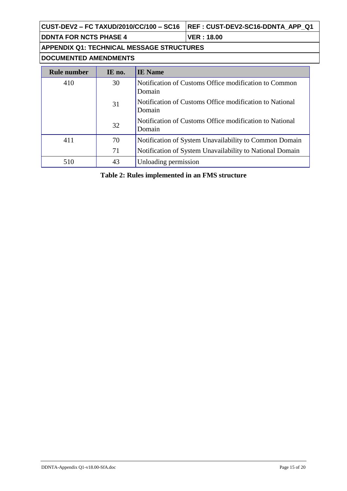**CUST-DEV2 – FC TAXUD/2010/CC/100 – SC16 REF : CUST-DEV2-SC16-DDNTA\_APP\_Q1**

**DDNTA FOR NCTS PHASE 4 VER : 18.00**

**APPENDIX Q1: TECHNICAL MESSAGE STRUCTURES**

**DOCUMENTED AMENDMENTS**

| <b>Rule number</b> | IE no. | <b>IE</b> Name                                                    |
|--------------------|--------|-------------------------------------------------------------------|
| 410                | 30     | Notification of Customs Office modification to Common<br>Domain   |
|                    | 31     | Notification of Customs Office modification to National<br>Domain |
|                    | 32     | Notification of Customs Office modification to National<br>Domain |
| 411                | 70     | Notification of System Unavailability to Common Domain            |
|                    | 71     | Notification of System Unavailability to National Domain          |
| 510                | 43     | Unloading permission                                              |

**Table 2: Rules implemented in an FMS structure**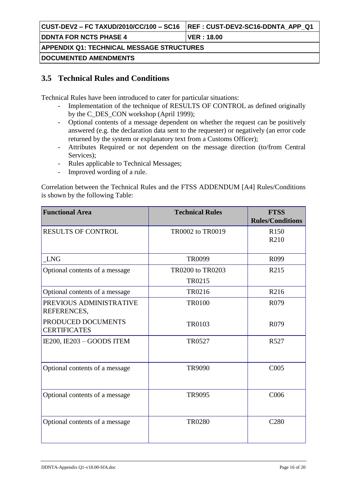| CUST-DEV2 – FC TAXUD/2010/CC/100 – SC16   | <b>REF: CUST-DEV2-SC16-DDNTA APP Q1</b> |  |  |
|-------------------------------------------|-----------------------------------------|--|--|
| <b>DDNTA FOR NCTS PHASE 4</b>             | VER : 18.00                             |  |  |
| APPENDIX Q1: TECHNICAL MESSAGE STRUCTURES |                                         |  |  |
| <b> DOCUMENTED AMENDMENTS </b>            |                                         |  |  |

## **3.5 Technical Rules and Conditions**

Technical Rules have been introduced to cater for particular situations:

- Implementation of the technique of RESULTS OF CONTROL as defined originally by the C\_DES\_CON workshop (April 1999);
- Optional contents of a message dependent on whether the request can be positively answered (e.g. the declaration data sent to the requester) or negatively (an error code returned by the system or explanatory text from a Customs Officer);
- Attributes Required or not dependent on the message direction (to/from Central Services);
- Rules applicable to Technical Messages;
- Improved wording of a rule.

Correlation between the Technical Rules and the FTSS ADDENDUM [A4] Rules/Conditions is shown by the following Table:

| <b>Functional Area</b>                    | <b>Technical Rules</b>     | <b>FTSS</b><br><b>Rules/Conditions</b> |
|-------------------------------------------|----------------------------|----------------------------------------|
| <b>RESULTS OF CONTROL</b>                 | TR0002 to TR0019           | R <sub>150</sub><br>R210               |
| <b>LNG</b>                                | <b>TR0099</b>              | R <sub>099</sub>                       |
| Optional contents of a message            | TR0200 to TR0203<br>TR0215 | R215                                   |
| Optional contents of a message            | TR0216                     | R216                                   |
| PREVIOUS ADMINISTRATIVE<br>REFERENCES,    | <b>TR0100</b>              | R <sub>079</sub>                       |
| PRODUCED DOCUMENTS<br><b>CERTIFICATES</b> | <b>TR0103</b>              | R <sub>079</sub>                       |
| IE200, IE203 - GOODS ITEM                 | <b>TR0527</b>              | R527                                   |
| Optional contents of a message            | <b>TR9090</b>              | C <sub>005</sub>                       |
| Optional contents of a message            | <b>TR9095</b>              | C006                                   |
| Optional contents of a message            | <b>TR0280</b>              | C <sub>280</sub>                       |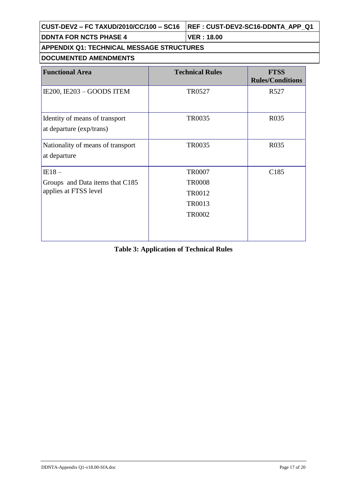| CUST-DEV2 - FC TAXUD/2010/CC/100 - SC16   REF : CUST-DEV2-SC16-DDNTA_APP_Q1 |  |
|-----------------------------------------------------------------------------|--|
|-----------------------------------------------------------------------------|--|

**DDNTA FOR NCTS PHASE 4 VER : 18.00**

## **APPENDIX Q1: TECHNICAL MESSAGE STRUCTURES**

#### **DOCUMENTED AMENDMENTS**

| <b>Functional Area</b>                                              | <b>Technical Rules</b>                                                     | <b>FTSS</b><br><b>Rules/Conditions</b> |
|---------------------------------------------------------------------|----------------------------------------------------------------------------|----------------------------------------|
| IE200, IE203 - GOODS ITEM                                           | TR0527                                                                     | R527                                   |
| Identity of means of transport<br>at departure (exp/trans)          | TR0035                                                                     | R <sub>0</sub> 35                      |
| Nationality of means of transport<br>at departure                   | TR0035                                                                     | R035                                   |
| $IE18-$<br>Groups and Data items that C185<br>applies at FTSS level | <b>TR0007</b><br><b>TR0008</b><br><b>TR0012</b><br>TR0013<br><b>TR0002</b> | C <sub>185</sub>                       |

## **Table 3: Application of Technical Rules**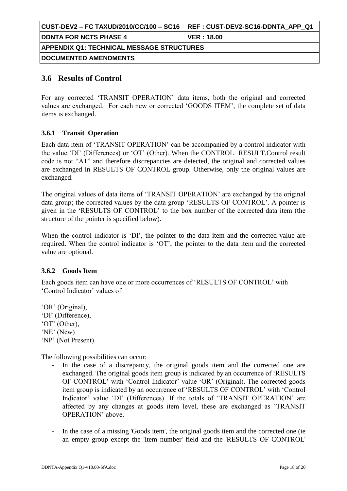|                                                  | <b>REF: CUST-DEV2-SC16-DDNTA APP Q1</b> |  |  |
|--------------------------------------------------|-----------------------------------------|--|--|
| <b>DDNTA FOR NCTS PHASE 4</b>                    | <b>IVER : 18.00</b>                     |  |  |
| <b>APPENDIX Q1: TECHNICAL MESSAGE STRUCTURES</b> |                                         |  |  |
| <b>DOCUMENTED AMENDMENTS</b>                     |                                         |  |  |

### **3.6 Results of Control**

For any corrected 'TRANSIT OPERATION' data items, both the original and corrected values are exchanged. For each new or corrected 'GOODS ITEM', the complete set of data items is exchanged.

#### **3.6.1 Transit Operation**

Each data item of 'TRANSIT OPERATION' can be accompanied by a control indicator with the value 'DI' (Differences) or 'OT' (Other). When the CONTROL RESULT.Control result code is not "A1" and therefore discrepancies are detected, the original and corrected values are exchanged in RESULTS OF CONTROL group. Otherwise, only the original values are exchanged.

The original values of data items of 'TRANSIT OPERATION' are exchanged by the original data group; the corrected values by the data group 'RESULTS OF CONTROL'. A pointer is given in the 'RESULTS OF CONTROL' to the box number of the corrected data item (the structure of the pointer is specified below).

When the control indicator is 'DI', the pointer to the data item and the corrected value are required. When the control indicator is 'OT', the pointer to the data item and the corrected value are optional.

#### **3.6.2 Goods Item**

Each goods item can have one or more occurrences of 'RESULTS OF CONTROL' with 'Control Indicator' values of

'OR' (Original), 'DI' (Difference), 'OT' (Other), 'NE' (New) 'NP' (Not Present).

The following possibilities can occur:

- In the case of a discrepancy, the original goods item and the corrected one are exchanged. The original goods item group is indicated by an occurrence of 'RESULTS OF CONTROL' with 'Control Indicator' value 'OR' (Original). The corrected goods item group is indicated by an occurrence of 'RESULTS OF CONTROL' with 'Control Indicator' value 'DI' (Differences). If the totals of 'TRANSIT OPERATION' are affected by any changes at goods item level, these are exchanged as 'TRANSIT OPERATION' above.
- In the case of a missing 'Goods item', the original goods item and the corrected one (ie an empty group except the 'Item number' field and the 'RESULTS OF CONTROL'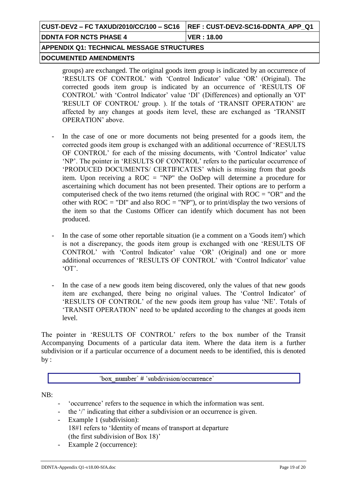|                                           | <b>REF: CUST-DEV2-SC16-DDNTA APP Q1</b> |
|-------------------------------------------|-----------------------------------------|
| <b>IDDNTA FOR NCTS PHASE 4</b>            | VER : 18.00                             |
| APPENDIX Q1: TECHNICAL MESSAGE STRUCTURES |                                         |
| <b>DOCUMENTED AMENDMENTS</b>              |                                         |

groups) are exchanged. The original goods item group is indicated by an occurrence of 'RESULTS OF CONTROL' with 'Control Indicator' value 'OR' (Original). The corrected goods item group is indicated by an occurrence of 'RESULTS OF CONTROL' with 'Control Indicator' value 'DI' (Differences) and optionally an 'OT' 'RESULT OF CONTROL' group. ). If the totals of 'TRANSIT OPERATION' are affected by any changes at goods item level, these are exchanged as 'TRANSIT OPERATION' above.

- In the case of one or more documents not being presented for a goods item, the corrected goods item group is exchanged with an additional occurrence of 'RESULTS OF CONTROL' for each of the missing documents, with 'Control Indicator' value 'NP'. The pointer in 'RESULTS OF CONTROL' refers to the particular occurrence of 'PRODUCED DOCUMENTS/ CERTIFICATES' which is missing from that goods item. Upon receiving a ROC = "NP" the OoDep will determine a procedure for ascertaining which document has not been presented. Their options are to perform a computerised check of the two items returned (the original with  $ROC = "OR"$  and the other with  $ROC = "DI"$  and also  $ROC = "NP")$ , or to print/display the two versions of the item so that the Customs Officer can identify which document has not been produced.
- In the case of some other reportable situation (ie a comment on a 'Goods item') which is not a discrepancy, the goods item group is exchanged with one 'RESULTS OF CONTROL' with 'Control Indicator' value 'OR' (Original) and one or more additional occurrences of 'RESULTS OF CONTROL' with 'Control Indicator' value 'OT'.
- In the case of a new goods item being discovered, only the values of that new goods item are exchanged, there being no original values. The 'Control Indicator' of 'RESULTS OF CONTROL' of the new goods item group has value 'NE'. Totals of 'TRANSIT OPERATION' need to be updated according to the changes at goods item level.

The pointer in 'RESULTS OF CONTROL' refers to the box number of the Transit Accompanying Documents of a particular data item. Where the data item is a further subdivision or if a particular occurrence of a document needs to be identified, this is denoted by :

'box number' # 'subdivision/occurrence'

NB:

- 'occurrence' refers to the sequence in which the information was sent.
- the '/' indicating that either a subdivision or an occurrence is given.
- Example 1 (subdivision): 18#1 refers to 'Identity of means of transport at departure (the first subdivision of Box 18)'
- Example 2 (occurrence):